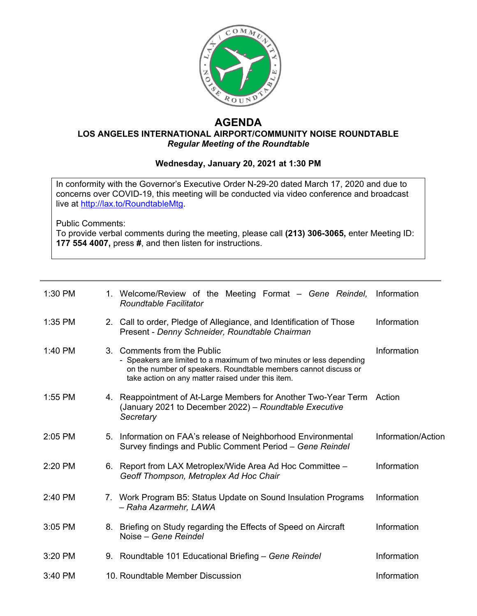

## **AGENDA**

## **LOS ANGELES INTERNATIONAL AIRPORT/COMMUNITY NOISE ROUNDTABLE** *Regular Meeting of the Roundtable*

## **Wednesday, January 20, 2021 at 1:30 PM**

In conformity with the Governor's Executive Order N-29-20 dated March 17, 2020 and due to concerns over COVID-19, this meeting will be conducted via video conference and broadcast live at [http://lax.to/RoundtableMtg.](http://lax.to/RoundtableMtg)

Public Comments:

To provide verbal comments during the meeting, please call **(213) 306-3065,** enter Meeting ID: **177 554 4007,** press **#**, and then listen for instructions.

| 1:30 PM |    | 1. Welcome/Review of the Meeting Format – Gene Reindel,<br>Roundtable Facilitator                                                                                                                                           | Information        |
|---------|----|-----------------------------------------------------------------------------------------------------------------------------------------------------------------------------------------------------------------------------|--------------------|
| 1:35 PM |    | 2. Call to order, Pledge of Allegiance, and Identification of Those<br>Present - Denny Schneider, Roundtable Chairman                                                                                                       | Information        |
| 1:40 PM |    | 3. Comments from the Public<br>- Speakers are limited to a maximum of two minutes or less depending<br>on the number of speakers. Roundtable members cannot discuss or<br>take action on any matter raised under this item. | Information        |
| 1:55 PM |    | 4. Reappointment of At-Large Members for Another Two-Year Term<br>(January 2021 to December 2022) - Roundtable Executive<br>Secretary                                                                                       | Action             |
| 2:05 PM |    | 5. Information on FAA's release of Neighborhood Environmental<br>Survey findings and Public Comment Period - Gene Reindel                                                                                                   | Information/Action |
| 2:20 PM | 6. | Report from LAX Metroplex/Wide Area Ad Hoc Committee -<br>Geoff Thompson, Metroplex Ad Hoc Chair                                                                                                                            | Information        |
| 2:40 PM |    | 7. Work Program B5: Status Update on Sound Insulation Programs<br>- Raha Azarmehr, LAWA                                                                                                                                     | Information        |
| 3:05 PM |    | 8. Briefing on Study regarding the Effects of Speed on Aircraft<br>Noise – Gene Reindel                                                                                                                                     | Information        |
| 3:20 PM |    | 9. Roundtable 101 Educational Briefing - Gene Reindel                                                                                                                                                                       | Information        |
| 3:40 PM |    | 10. Roundtable Member Discussion                                                                                                                                                                                            | Information        |
|         |    |                                                                                                                                                                                                                             |                    |